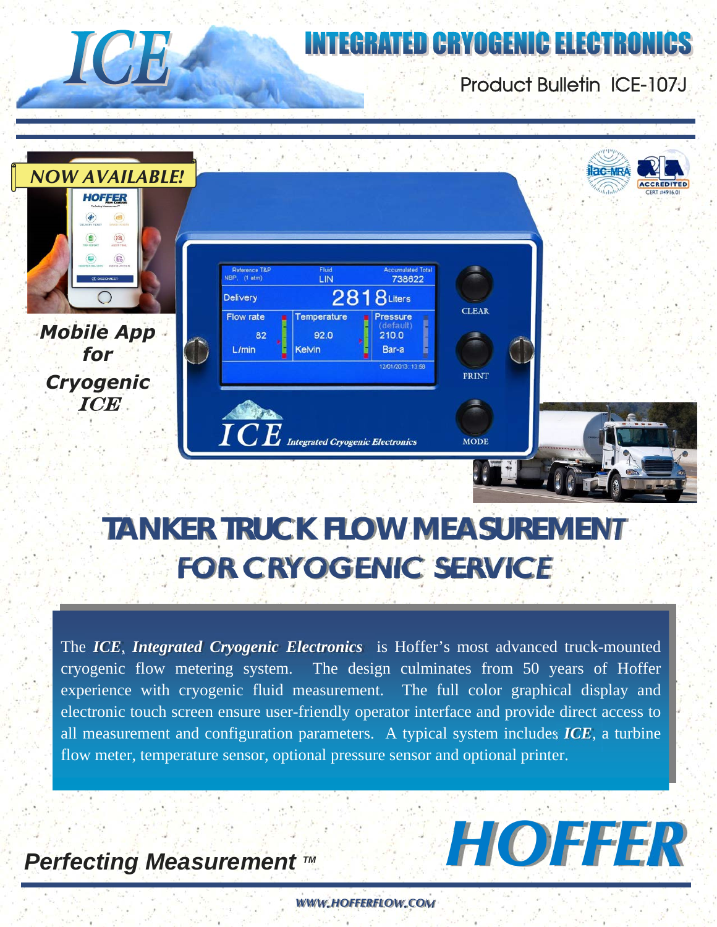# **INTEGRATED CRYOGENIC ELECTRONICS**

# Product Bulletin ICE-107J



# *FOR CRYOGENIC SERVICE TANKER TRUCK FLOW MEASUREMENT*

The *ICE*, *Integrated Cryogenic Electronics* is Hoffer's most advanced truck-mounted cryogenic flow metering system. The design culminates from 50 years of Hoffer experience with cryogenic fluid measurement. The full color graphical display and electronic touch screen ensure user-friendly operator interface and provide direct access to all measurement and configuration parameters. A typical system includes *ICE*, a turbine flow meter, temperature sensor, optional pressure sensor and optional printer.

# **Perfecting Measurement ™**

**ICH** 

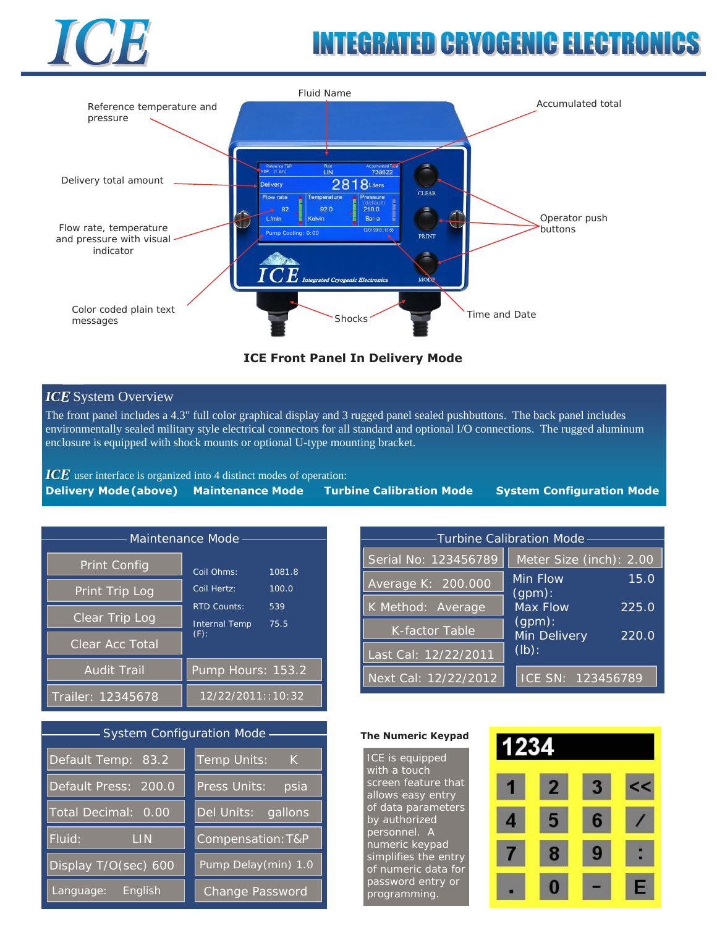

# **INTEGRATED CRYOGENIC ELECTRON**



### **ICE Front Panel In Delivery Mode**

## *ICE* System Overview

The front panel includes a 4.3" full color graphical display and 3 rugged panel sealed pushbuttons. The back panel includes environmentally sealed military style electrical connectors for all standard and optional I/O connections. The rugged aluminum enclosure is equipped with shock mounts or optional U-type mounting bracket.

*ICE* user interface is organized into 4 distinct modes of operation:

|  |  |  | Delivery Mode (above) Maintenance Mode Turbine Calibration Mode System Configuration Mode |
|--|--|--|-------------------------------------------------------------------------------------------|
|--|--|--|-------------------------------------------------------------------------------------------|

| Maintenance Mode                                        |                                                                    |  |  |  |  |
|---------------------------------------------------------|--------------------------------------------------------------------|--|--|--|--|
| <b>Print Config</b><br>Print Trip Log<br>Clear Trip Log | Coil Ohms:<br>1081.8<br>Coil Hertz:<br>100.0<br>RTD Counts:<br>539 |  |  |  |  |
| Clear Acc Total<br><b>Audit Trail</b>                   | <b>Internal Temp</b><br>75.5<br>$(F)$ :<br>Pump Hours: 153.2       |  |  |  |  |
| Trailer: 12345678                                       | $12/22/2011$ :: 10: 32                                             |  |  |  |  |

### System Configuration Mode

| Default Temp: 83.2                 | Temp Units:<br>K       |  |
|------------------------------------|------------------------|--|
| Default Press: 200.0               | Press Units:<br>psia   |  |
| Total Decimal:<br>0.00             | Del Units:<br>gallons  |  |
| Fluid:<br><b>LIN</b>               | Compensation: T&P      |  |
| Display $T/\overline{O(\sec)}$ 600 | Pump Delay(min) 1.0    |  |
| English<br>Language:               | <b>Change Password</b> |  |

| -Turbine Calibration Mode- |                                              |       |  |  |  |  |
|----------------------------|----------------------------------------------|-------|--|--|--|--|
| Serial No: 123456789       | Meter Size (inch): 2.00                      |       |  |  |  |  |
| Average K: 200.000         | Min Flow                                     | 15.0  |  |  |  |  |
| K Method: Average          | (gpm):<br>Max Flow<br>(gpm):<br>Min Delivery | 225.0 |  |  |  |  |
| K-factor Table             |                                              | 220.0 |  |  |  |  |
| Last Cal: 12/22/2011       | $(lb)$ :                                     |       |  |  |  |  |
| Next Cal: 12/22/2012       | ICE SN: 123456789                            |       |  |  |  |  |

#### **The Numeric Keypad**

ICE is equipped with a touch screen feature that allows easy entry of data parameters by authorized personnel. A numeric keypad simplifies the entry of numeric data for password entry or programming.

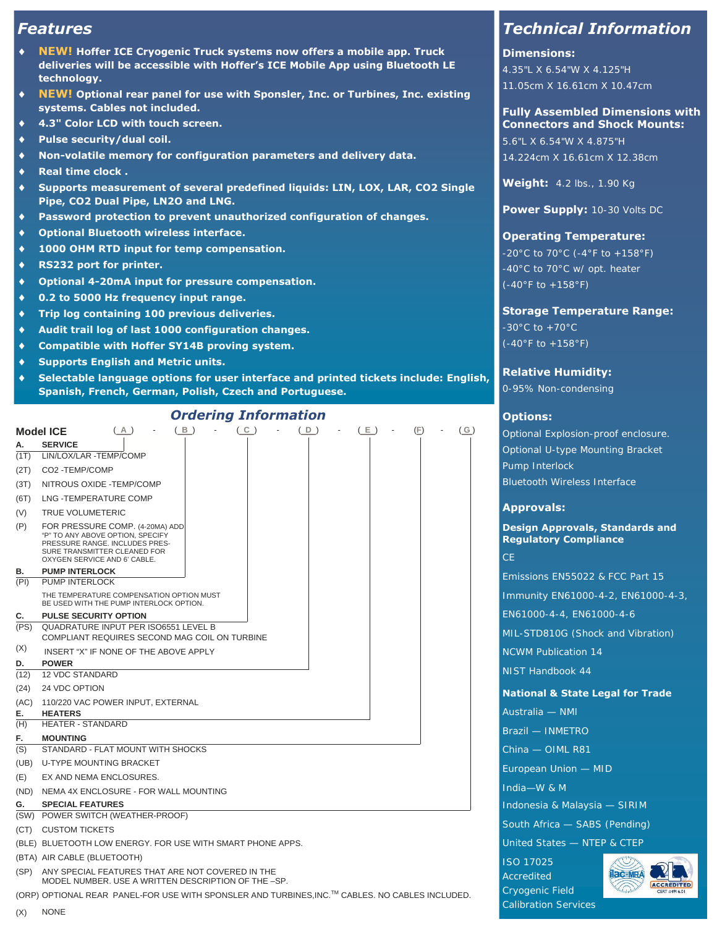# *Features*

- **NEW! Hoffer ICE Cryogenic Truck systems now offers a mobile app. Truck deliveries will be accessible with Hoffer's ICE Mobile App using Bluetooth LE technology.**
- **NEW! Optional rear panel for use with Sponsler, Inc. or Turbines, Inc. existing systems. Cables not included.**
- **4.3" Color LCD with touch screen.**
- **Pulse security/dual coil.**
- **Non-volatile memory for configuration parameters and delivery data.**
- **Real time clock .**
- **Supports measurement of several predefined liquids: LIN, LOX, LAR, CO2 Single Pipe, CO2 Dual Pipe, LN2O and LNG.**
- **Password protection to prevent unauthorized configuration of changes.**
- **Optional Bluetooth wireless interface.**
- **1000 OHM RTD input for temp compensation.**
- **RS232 port for printer.**
- **Optional 4-20mA input for pressure compensation.**
- **0.2 to 5000 Hz frequency input range.**
- **Trip log containing 100 previous deliveries.**
- **Audit trail log of last 1000 configuration changes.**
- **Compatible with Hoffer SY14B proving system.**
- **Supports English and Metric units.**
- **Selectable language options for user interface and printed tickets include: English, Spanish, French, German, Polish, Czech and Portuguese.**

#### **Model ICE** ( **A** ) - ( **B** ) - ( **C** ) - ( **D** ) - ( **E** ) - (**F**) - ( **G** ) **SERVICE**  $(1T)$ (2T) (3T) (6T) (V)  $(P)$ LIN/LOX/LAR -TEMP/COMP CO2 -TEMP/COMP NITROUS OXIDE -TEMP/COMP LNG -TEMPERATURE COMP TRUE VOLUMETERIC FOR PRESSURE COMP. (4-20MA) ADD "P" TO ANY ABOVE OPTION, SPECIFY PRESSURE RANGE. INCLUDES PRES-SURE TRANSMITTER CLEANED FOR OXYGEN SERVICE AND 6' CABLE. **B. PUMP INTERLOCK**<br> **PUMP INTERLOCK** PUMP INTERLOCK THE TEMPERATURE COMPENSATION OPTION MUST BE USED WITH THE PUMP INTERLOCK OPTION. **C. PULSE SECURITY OPTION**  (PS) QUADRATURE INPUT PER ISO6551 LEVEL B (X) **D. POWER** (12) (24) (AC) 110/220 VAC POWER INPUT, EXTERNAL 12 VDC STANDARD 24 VDC OPTION **E. HEATERS** (H) HEATER - STANDARD **F. MOUNTING** (S) (UB) U-TYPE MOUNTING BRACKET  $(E)$ (ND) NEMA 4X ENCLOSURE - FOR WALL MOUNTING STANDARD - FLAT MOUNT WITH SHOCKS EX AND NEMA ENCLOSURES. **G. SPECIAL FEATURES** (SW) POWER SWITCH (WEATHER-PROOF) (CT) CUSTOM TICKETS (BLE) BLUETOOTH LOW ENERGY. FOR USE WITH SMART PHONE APPS. (BTA) AIR CABLE (BLUETOOTH) (SP) ANY SPECIAL FEATURES THAT ARE NOT COVERED IN THE MODEL NUMBER. USE A WRITTEN DESCRIPTION OF THE –SP. COMPLIANT REQUIRES SECOND MAG COIL ON TURBINE INSERT "X" IF NONE OF THE ABOVE APPLY *Ordering Information*

(ORP) OPTIONAL REAR PANEL-FOR USE WITH SPONSLER AND TURBINES,INC.™ CABLES. NO CABLES INCLUDED.

# *Technical Information*

#### **Dimensions:**

4.35"L X 6.54"W X 4.125"H 11.05cm X 16.61cm X 10.47cm

#### **Fully Assembled Dimensions with Connectors and Shock Mounts:**

5.6"L X 6.54"W X 4.875"H 14.224cm X 16.61cm X 12.38cm

**Weight:** 4.2 lbs., 1.90 Kg

**Power Supply:** 10-30 Volts DC

#### **Operating Temperature:**

 $-20^{\circ}$ C to 70 $^{\circ}$ C (-4 $^{\circ}$ F to +158 $^{\circ}$ F) -40°C to 70°C w/ opt. heater (-40°F to +158°F)

#### **Storage Temperature Range:**

 $-30^{\circ}$ C to  $+70^{\circ}$ C  $(-40°F to +158°F)$ 

**Relative Humidity:** 

0-95% Non-condensing

#### **Options:**

Optional Explosion-proof enclosure. Optional U-type Mounting Bracket Pump Interlock Bluetooth Wireless Interface

#### **Approvals:**

**Design Approvals, Standards and Regulatory Compliance** 

CE

Emissions EN55022 & FCC Part 15 Immunity EN61000-4-2, EN61000-4-3, EN61000-4-4, EN61000-4-6 MIL-STD810G (Shock and Vibration) NCWM Publication 14 NIST Handbook 44

#### **National & State Legal for Trade**

Australia — NMI Brazil — INMETRO China — OIML R81 European Union — MID India—W & M Indonesia & Malaysia — SIRIM South Africa — SABS (Pending) United States — NTEP & CTEP ISO 17025 Accredited



Cryogenic Field Calibration Services